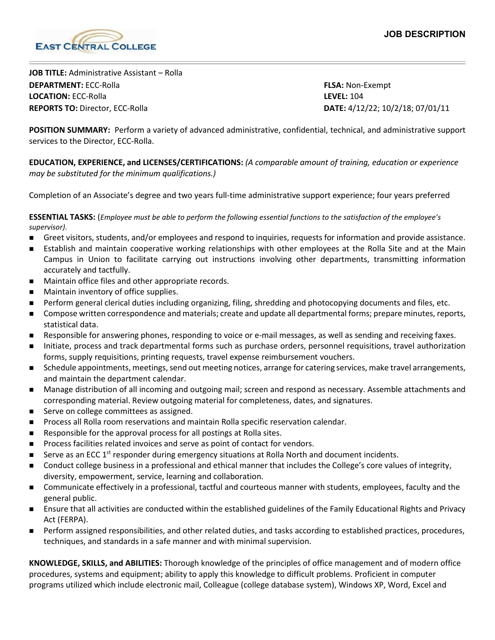

**JOB TITLE:** Administrative Assistant – Rolla **DEPARTMENT:** ECC-Rolla **FLSA:** Non-Exempt **LOCATION:** ECC-Rolla **LEVEL:** 104 **REPORTS TO:** Director, ECC-Rolla **DATE:** 4/12/22; 10/2/18; 07/01/11

**POSITION SUMMARY:** Perform a variety of advanced administrative, confidential, technical, and administrative support services to the Director, ECC-Rolla.

**EDUCATION, EXPERIENCE, and LICENSES/CERTIFICATIONS:** *(A comparable amount of training, education or experience may be substituted for the minimum qualifications.)*

Completion of an Associate's degree and two years full-time administrative support experience; four years preferred

**ESSENTIAL TASKS:** (*Employee must be able to perform the following essential functions to the satisfaction of the employee's supervisor).*

- Greet visitors, students, and/or employees and respond to inquiries, requests for information and provide assistance.
- Establish and maintain cooperative working relationships with other employees at the Rolla Site and at the Main Campus in Union to facilitate carrying out instructions involving other departments, transmitting information accurately and tactfully.
- **Maintain office files and other appropriate records.**
- Maintain inventory of office supplies.
- Perform general clerical duties including organizing, filing, shredding and photocopying documents and files, etc.
- **Compose written correspondence and materials; create and update all departmental forms; prepare minutes, reports,** statistical data.
- Responsible for answering phones, responding to voice or e-mail messages, as well as sending and receiving faxes.
- Initiate, process and track departmental forms such as purchase orders, personnel requisitions, travel authorization forms, supply requisitions, printing requests, travel expense reimbursement vouchers.
- Schedule appointments, meetings, send out meeting notices, arrange for catering services, make travel arrangements, and maintain the department calendar.
- Manage distribution of all incoming and outgoing mail; screen and respond as necessary. Assemble attachments and corresponding material. Review outgoing material for completeness, dates, and signatures.
- Serve on college committees as assigned.
- Process all Rolla room reservations and maintain Rolla specific reservation calendar.
- Responsible for the approval process for all postings at Rolla sites.
- Process facilities related invoices and serve as point of contact for vendors.
- Serve as an ECC  $1<sup>st</sup>$  responder during emergency situations at Rolla North and document incidents.
- Conduct college business in a professional and ethical manner that includes the College's core values of integrity, diversity, empowerment, service, learning and collaboration.
- Communicate effectively in a professional, tactful and courteous manner with students, employees, faculty and the general public.
- Ensure that all activities are conducted within the established guidelines of the Family Educational Rights and Privacy Act (FERPA).
- **Perform assigned responsibilities, and other related duties, and tasks according to established practices, procedures,** techniques, and standards in a safe manner and with minimal supervision.

**KNOWLEDGE, SKILLS, and ABILITIES:** Thorough knowledge of the principles of office management and of modern office procedures, systems and equipment; ability to apply this knowledge to difficult problems. Proficient in computer programs utilized which include electronic mail, Colleague (college database system), Windows XP, Word, Excel and